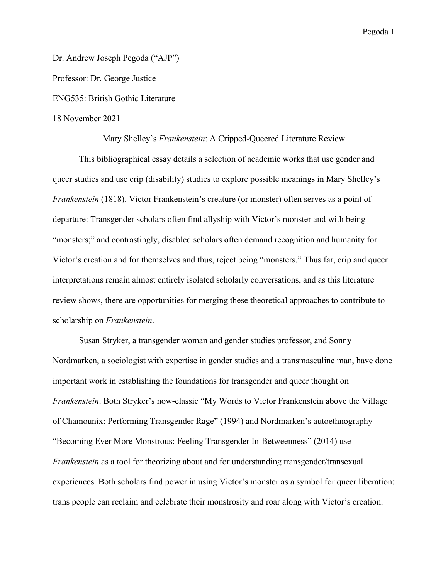Dr. Andrew Joseph Pegoda ("AJP") Professor: Dr. George Justice ENG535: British Gothic Literature 18 November 2021

Mary Shelley's *Frankenstein*: A Cripped-Queered Literature Review

This bibliographical essay details a selection of academic works that use gender and queer studies and use crip (disability) studies to explore possible meanings in Mary Shelley's *Frankenstein* (1818). Victor Frankenstein's creature (or monster) often serves as a point of departure: Transgender scholars often find allyship with Victor's monster and with being "monsters;" and contrastingly, disabled scholars often demand recognition and humanity for Victor's creation and for themselves and thus, reject being "monsters." Thus far, crip and queer interpretations remain almost entirely isolated scholarly conversations, and as this literature review shows, there are opportunities for merging these theoretical approaches to contribute to scholarship on *Frankenstein*.

Susan Stryker, a transgender woman and gender studies professor, and Sonny Nordmarken, a sociologist with expertise in gender studies and a transmasculine man, have done important work in establishing the foundations for transgender and queer thought on *Frankenstein*. Both Stryker's now-classic "My Words to Victor Frankenstein above the Village of Chamounix: Performing Transgender Rage" (1994) and Nordmarken's autoethnography "Becoming Ever More Monstrous: Feeling Transgender In-Betweenness" (2014) use *Frankenstein* as a tool for theorizing about and for understanding transgender/transexual experiences. Both scholars find power in using Victor's monster as a symbol for queer liberation: trans people can reclaim and celebrate their monstrosity and roar along with Victor's creation.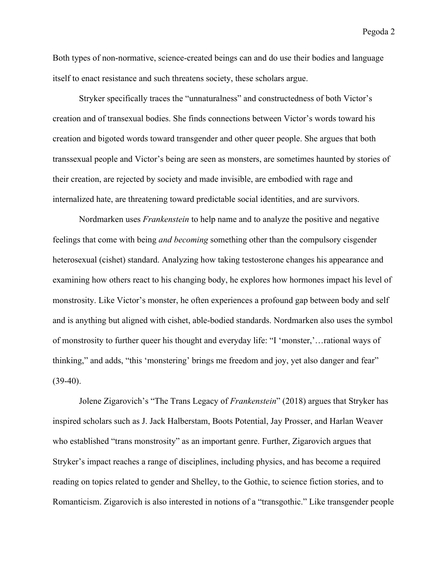Both types of non-normative, science-created beings can and do use their bodies and language itself to enact resistance and such threatens society, these scholars argue.

Stryker specifically traces the "unnaturalness" and constructedness of both Victor's creation and of transexual bodies. She finds connections between Victor's words toward his creation and bigoted words toward transgender and other queer people. She argues that both transsexual people and Victor's being are seen as monsters, are sometimes haunted by stories of their creation, are rejected by society and made invisible, are embodied with rage and internalized hate, are threatening toward predictable social identities, and are survivors.

Nordmarken uses *Frankenstein* to help name and to analyze the positive and negative feelings that come with being *and becoming* something other than the compulsory cisgender heterosexual (cishet) standard. Analyzing how taking testosterone changes his appearance and examining how others react to his changing body, he explores how hormones impact his level of monstrosity. Like Victor's monster, he often experiences a profound gap between body and self and is anything but aligned with cishet, able-bodied standards. Nordmarken also uses the symbol of monstrosity to further queer his thought and everyday life: "I 'monster,'…rational ways of thinking," and adds, "this 'monstering' brings me freedom and joy, yet also danger and fear"  $(39-40)$ .

Jolene Zigarovich's "The Trans Legacy of *Frankenstein*" (2018) argues that Stryker has inspired scholars such as J. Jack Halberstam, Boots Potential, Jay Prosser, and Harlan Weaver who established "trans monstrosity" as an important genre. Further, Zigarovich argues that Stryker's impact reaches a range of disciplines, including physics, and has become a required reading on topics related to gender and Shelley, to the Gothic, to science fiction stories, and to Romanticism. Zigarovich is also interested in notions of a "transgothic." Like transgender people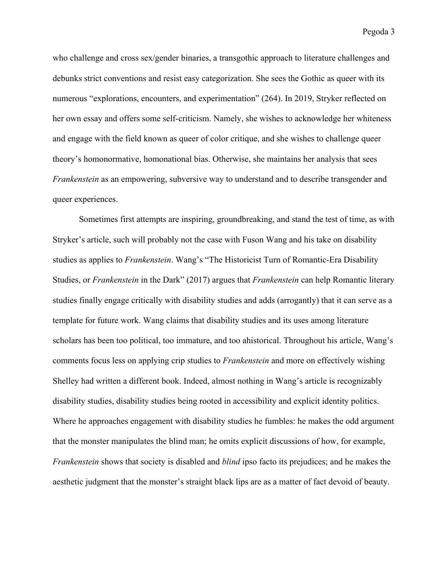who challenge and cross sex/gender binaries, a transgothic approach to literature challenges and debunks strict conventions and resist easy categorization. She sees the Gothic as queer with its numerous "explorations, encounters, and experimentation" (264). In 2019, Stryker reflected on her own essay and offers some self-criticism. Namely, she wishes to acknowledge her whiteness and engage with the field known as queer of color critique, and she wishes to challenge queer theory's homonormative, homonational bias. Otherwise, she maintains her analysis that sees *Frankenstein* as an empowering, subversive way to understand and to describe transgender and queer experiences.

Sometimes first attempts are inspiring, groundbreaking, and stand the test of time, as with Stryker's article, such will probably not the case with Fuson Wang and his take on disability studies as applies to *Frankenstein*. Wang's "The Historicist Turn of Romantic-Era Disability Studies, or *Frankenstein* in the Dark" (2017) argues that *Frankenstein* can help Romantic literary studies finally engage critically with disability studies and adds (arrogantly) that it can serve as a template for future work. Wang claims that disability studies and its uses among literature scholars has been too political, too immature, and too ahistorical. Throughout his article, Wang's comments focus less on applying crip studies to *Frankenstein* and more on effectively wishing Shelley had written a different book. Indeed, almost nothing in Wang's article is recognizably disability studies, disability studies being rooted in accessibility and explicit identity politics. Where he approaches engagement with disability studies he fumbles: he makes the odd argument that the monster manipulates the blind man; he omits explicit discussions of how, for example, *Frankenstein* shows that society is disabled and *blind* ipso facto its prejudices; and he makes the aesthetic judgment that the monster's straight black lips are as a matter of fact devoid of beauty.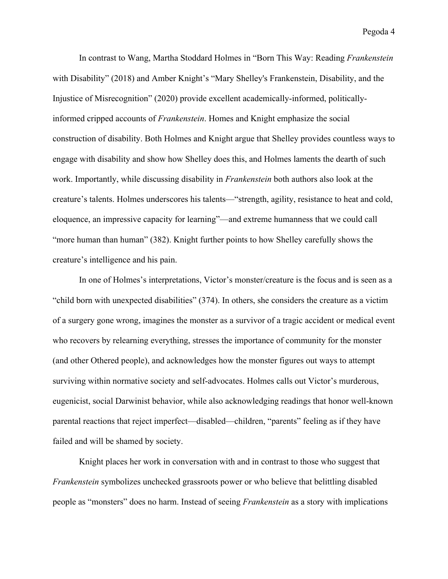In contrast to Wang, Martha Stoddard Holmes in "Born This Way: Reading *Frankenstein*  with Disability" (2018) and Amber Knight's "Mary Shelley's Frankenstein, Disability, and the Injustice of Misrecognition" (2020) provide excellent academically-informed, politicallyinformed cripped accounts of *Frankenstein*. Homes and Knight emphasize the social construction of disability. Both Holmes and Knight argue that Shelley provides countless ways to engage with disability and show how Shelley does this, and Holmes laments the dearth of such work. Importantly, while discussing disability in *Frankenstein* both authors also look at the creature's talents. Holmes underscores his talents—"strength, agility, resistance to heat and cold, eloquence, an impressive capacity for learning"—and extreme humanness that we could call "more human than human" (382). Knight further points to how Shelley carefully shows the creature's intelligence and his pain.

In one of Holmes's interpretations, Victor's monster/creature is the focus and is seen as a "child born with unexpected disabilities" (374). In others, she considers the creature as a victim of a surgery gone wrong, imagines the monster as a survivor of a tragic accident or medical event who recovers by relearning everything, stresses the importance of community for the monster (and other Othered people), and acknowledges how the monster figures out ways to attempt surviving within normative society and self-advocates. Holmes calls out Victor's murderous, eugenicist, social Darwinist behavior, while also acknowledging readings that honor well-known parental reactions that reject imperfect—disabled—children, "parents" feeling as if they have failed and will be shamed by society.

Knight places her work in conversation with and in contrast to those who suggest that *Frankenstein* symbolizes unchecked grassroots power or who believe that belittling disabled people as "monsters" does no harm. Instead of seeing *Frankenstein* as a story with implications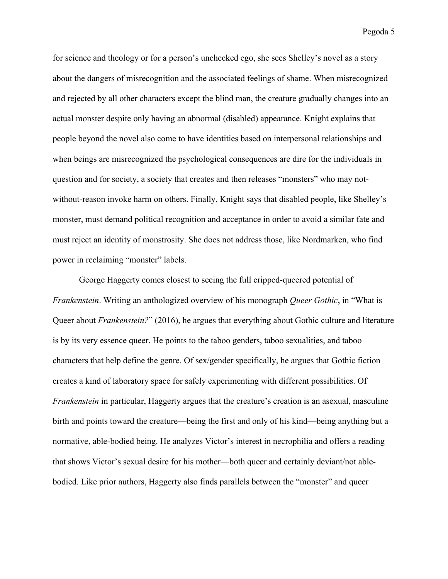for science and theology or for a person's unchecked ego, she sees Shelley's novel as a story about the dangers of misrecognition and the associated feelings of shame. When misrecognized and rejected by all other characters except the blind man, the creature gradually changes into an actual monster despite only having an abnormal (disabled) appearance. Knight explains that people beyond the novel also come to have identities based on interpersonal relationships and when beings are misrecognized the psychological consequences are dire for the individuals in question and for society, a society that creates and then releases "monsters" who may notwithout-reason invoke harm on others. Finally, Knight says that disabled people, like Shelley's monster, must demand political recognition and acceptance in order to avoid a similar fate and must reject an identity of monstrosity. She does not address those, like Nordmarken, who find power in reclaiming "monster" labels.

George Haggerty comes closest to seeing the full cripped-queered potential of *Frankenstein*. Writing an anthologized overview of his monograph *Queer Gothic*, in "What is Queer about *Frankenstein?*" (2016), he argues that everything about Gothic culture and literature is by its very essence queer. He points to the taboo genders, taboo sexualities, and taboo characters that help define the genre. Of sex/gender specifically, he argues that Gothic fiction creates a kind of laboratory space for safely experimenting with different possibilities. Of *Frankenstein* in particular, Haggerty argues that the creature's creation is an asexual, masculine birth and points toward the creature—being the first and only of his kind—being anything but a normative, able-bodied being. He analyzes Victor's interest in necrophilia and offers a reading that shows Victor's sexual desire for his mother—both queer and certainly deviant/not ablebodied. Like prior authors, Haggerty also finds parallels between the "monster" and queer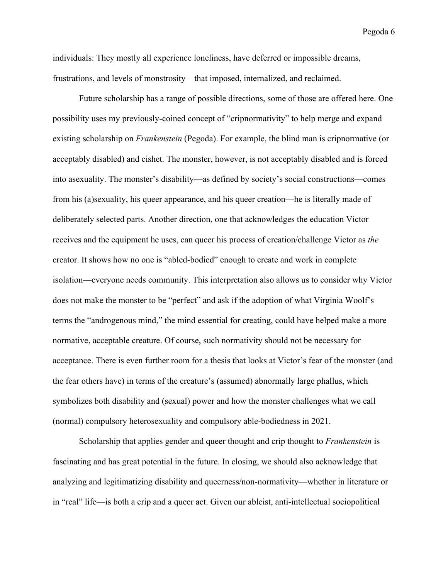individuals: They mostly all experience loneliness, have deferred or impossible dreams, frustrations, and levels of monstrosity—that imposed, internalized, and reclaimed.

Future scholarship has a range of possible directions, some of those are offered here. One possibility uses my previously-coined concept of "cripnormativity" to help merge and expand existing scholarship on *Frankenstein* (Pegoda). For example, the blind man is cripnormative (or acceptably disabled) and cishet. The monster, however, is not acceptably disabled and is forced into asexuality. The monster's disability—as defined by society's social constructions—comes from his (a)sexuality, his queer appearance, and his queer creation—he is literally made of deliberately selected parts. Another direction, one that acknowledges the education Victor receives and the equipment he uses, can queer his process of creation/challenge Victor as *the* creator. It shows how no one is "abled-bodied" enough to create and work in complete isolation—everyone needs community. This interpretation also allows us to consider why Victor does not make the monster to be "perfect" and ask if the adoption of what Virginia Woolf's terms the "androgenous mind," the mind essential for creating, could have helped make a more normative, acceptable creature. Of course, such normativity should not be necessary for acceptance. There is even further room for a thesis that looks at Victor's fear of the monster (and the fear others have) in terms of the creature's (assumed) abnormally large phallus, which symbolizes both disability and (sexual) power and how the monster challenges what we call (normal) compulsory heterosexuality and compulsory able-bodiedness in 2021.

Scholarship that applies gender and queer thought and crip thought to *Frankenstein* is fascinating and has great potential in the future. In closing, we should also acknowledge that analyzing and legitimatizing disability and queerness/non-normativity—whether in literature or in "real" life—is both a crip and a queer act. Given our ableist, anti-intellectual sociopolitical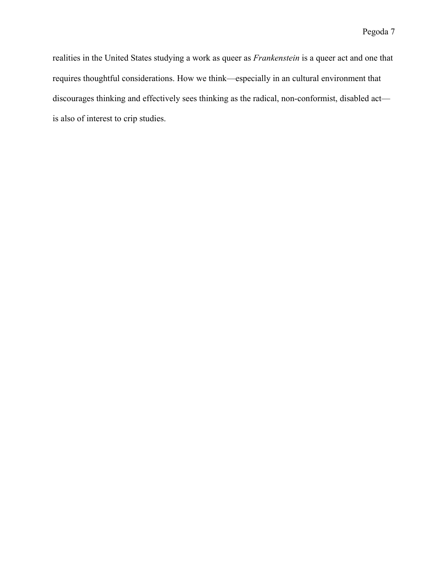realities in the United States studying a work as queer as *Frankenstein* is a queer act and one that requires thoughtful considerations. How we think—especially in an cultural environment that discourages thinking and effectively sees thinking as the radical, non-conformist, disabled act is also of interest to crip studies.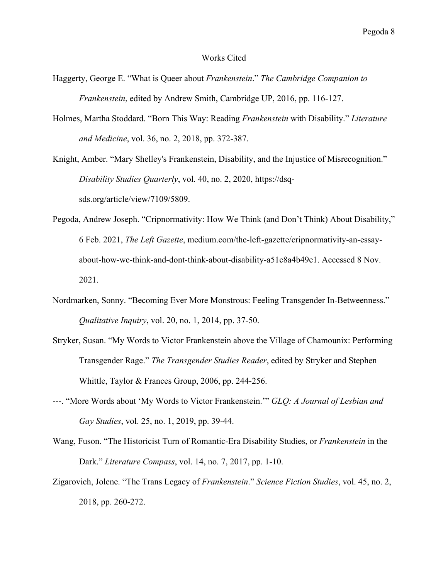## Works Cited

- Haggerty, George E. "What is Queer about *Frankenstein*." *The Cambridge Companion to Frankenstein*, edited by Andrew Smith, Cambridge UP, 2016, pp. 116-127.
- Holmes, Martha Stoddard. "Born This Way: Reading *Frankenstein* with Disability." *Literature and Medicine*, vol. 36, no. 2, 2018, pp. 372-387.

Knight, Amber. "Mary Shelley's Frankenstein, Disability, and the Injustice of Misrecognition." *Disability Studies Quarterly*, vol. 40, no. 2, 2020, https://dsqsds.org/article/view/7109/5809.

- Pegoda, Andrew Joseph. "Cripnormativity: How We Think (and Don't Think) About Disability," 6 Feb. 2021, *The Left Gazette*, medium.com/the-left-gazette/cripnormativity-an-essayabout-how-we-think-and-dont-think-about-disability-a51c8a4b49e1. Accessed 8 Nov. 2021.
- Nordmarken, Sonny. "Becoming Ever More Monstrous: Feeling Transgender In-Betweenness." *Qualitative Inquiry*, vol. 20, no. 1, 2014, pp. 37-50.
- Stryker, Susan. "My Words to Victor Frankenstein above the Village of Chamounix: Performing Transgender Rage." *The Transgender Studies Reader*, edited by Stryker and Stephen Whittle, Taylor & Frances Group, 2006, pp. 244-256.
- ---. "More Words about 'My Words to Victor Frankenstein.'" *GLQ: A Journal of Lesbian and Gay Studies*, vol. 25, no. 1, 2019, pp. 39-44.
- Wang, Fuson. "The Historicist Turn of Romantic-Era Disability Studies, or *Frankenstein* in the Dark." *Literature Compass*, vol. 14, no. 7, 2017, pp. 1-10.
- Zigarovich, Jolene. "The Trans Legacy of *Frankenstein*." *Science Fiction Studies*, vol. 45, no. 2, 2018, pp. 260-272.